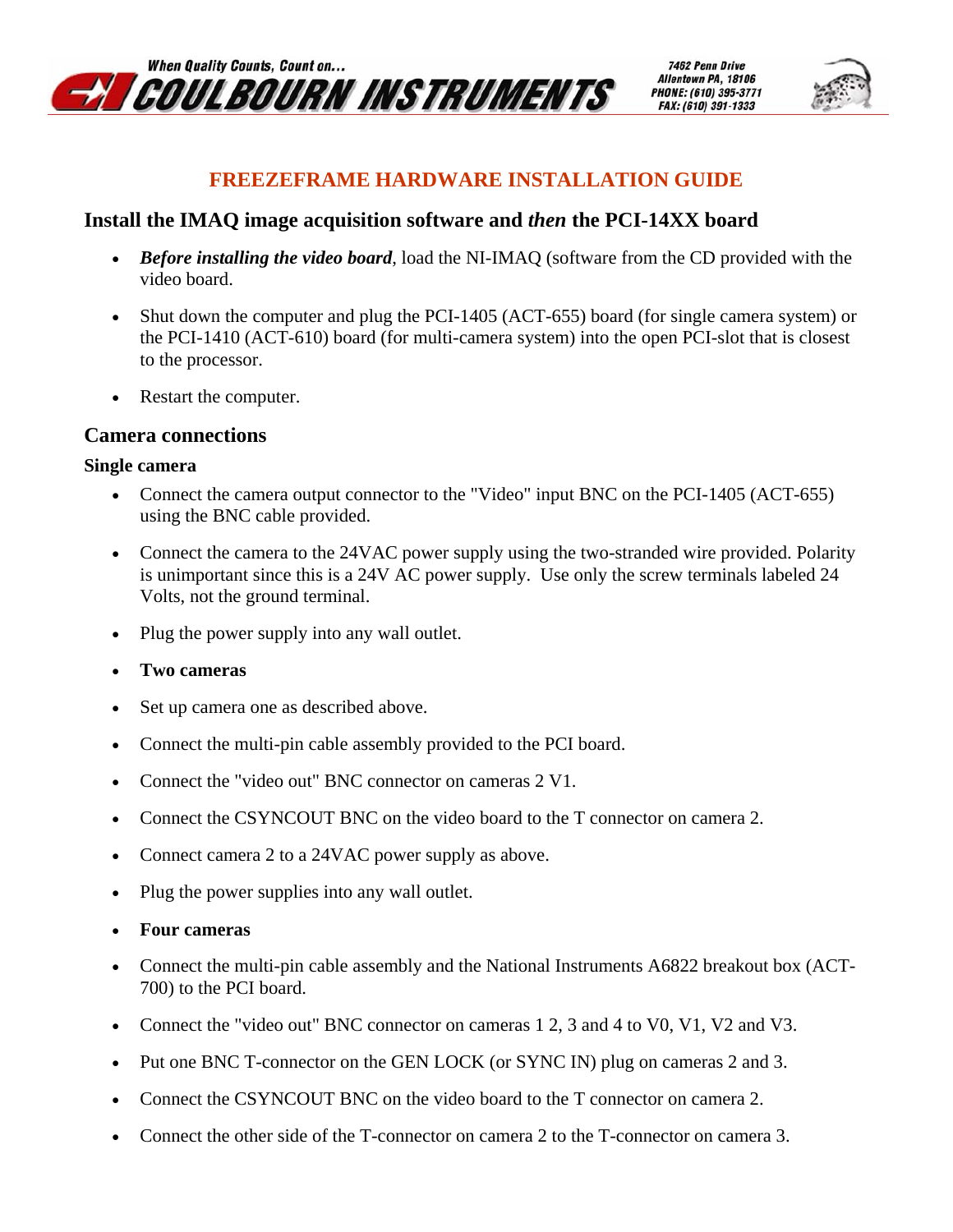

7462 Penn Drive Allentown PA, 18106 PHONE: (610) 395-3771 FAX: (610) 391-1333



## **FREEZEFRAME HARDWARE INSTALLATION GUIDE**

### **Install the IMAQ image acquisition software and** *then* **the PCI-14XX board**

- *Before installing the video board*, load the NI-IMAQ (software from the CD provided with the video board.
- Shut down the computer and plug the PCI-1405 (ACT-655) board (for single camera system) or the PCI-1410 (ACT-610) board (for multi-camera system) into the open PCI-slot that is closest to the processor.
- Restart the computer.

### **Camera connections**

#### **Single camera**

- Connect the camera output connector to the "Video" input BNC on the PCI-1405 (ACT-655) using the BNC cable provided.
- Connect the camera to the 24VAC power supply using the two-stranded wire provided. Polarity is unimportant since this is a 24V AC power supply. Use only the screw terminals labeled 24 Volts, not the ground terminal.
- Plug the power supply into any wall outlet.
- **Two cameras**
- Set up camera one as described above.
- Connect the multi-pin cable assembly provided to the PCI board.
- Connect the "video out" BNC connector on cameras 2 V1.
- Connect the CSYNCOUT BNC on the video board to the T connector on camera 2.
- Connect camera 2 to a 24VAC power supply as above.
- Plug the power supplies into any wall outlet.
- **Four cameras**
- Connect the multi-pin cable assembly and the National Instruments A6822 breakout box (ACT-700) to the PCI board.
- Connect the "video out" BNC connector on cameras 1 2, 3 and 4 to V0, V1, V2 and V3.
- Put one BNC T-connector on the GEN LOCK (or SYNC IN) plug on cameras 2 and 3.
- Connect the CSYNCOUT BNC on the video board to the T connector on camera 2.
- Connect the other side of the T-connector on camera 2 to the T-connector on camera 3.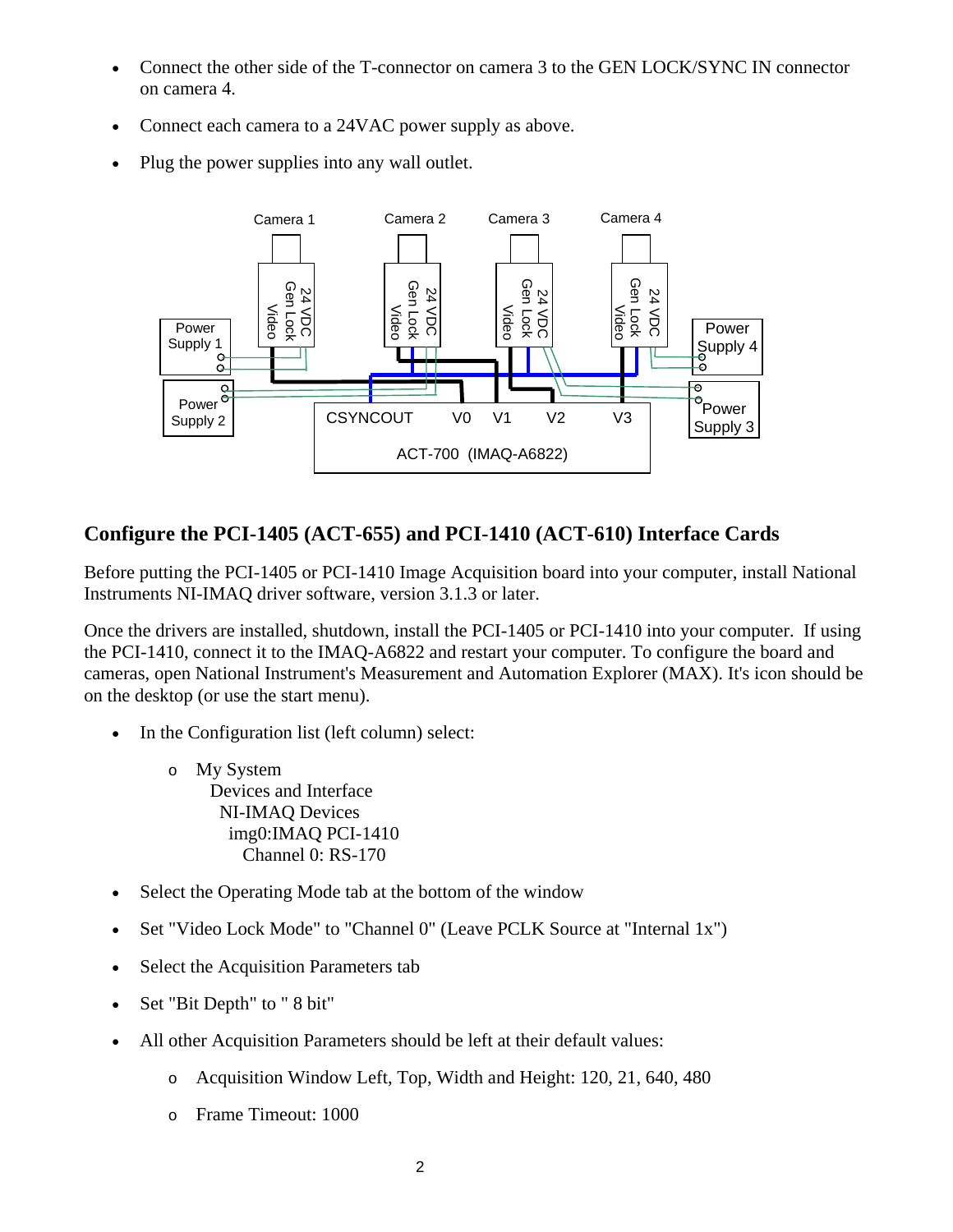- Connect the other side of the T-connector on camera 3 to the GEN LOCK/SYNC IN connector on camera 4.
- Connect each camera to a 24VAC power supply as above.
- Plug the power supplies into any wall outlet.



# **Configure the PCI-1405 (ACT-655) and PCI-1410 (ACT-610) Interface Cards**

Before putting the PCI-1405 or PCI-1410 Image Acquisition board into your computer, install National Instruments NI-IMAQ driver software, version 3.1.3 or later.

Once the drivers are installed, shutdown, install the PCI-1405 or PCI-1410 into your computer. If using the PCI-1410, connect it to the IMAQ-A6822 and restart your computer. To configure the board and cameras, open National Instrument's Measurement and Automation Explorer (MAX). It's icon should be on the desktop (or use the start menu).

- In the Configuration list (left column) select:
	- o My System Devices and Interface NI-IMAQ Devices img0:IMAQ PCI-1410 Channel 0: RS-170
- Select the Operating Mode tab at the bottom of the window
- Set "Video Lock Mode" to "Channel 0" (Leave PCLK Source at "Internal 1x")
- Select the Acquisition Parameters tab
- Set "Bit Depth" to " 8 bit"
- All other Acquisition Parameters should be left at their default values:
	- o Acquisition Window Left, Top, Width and Height: 120, 21, 640, 480
	- o Frame Timeout: 1000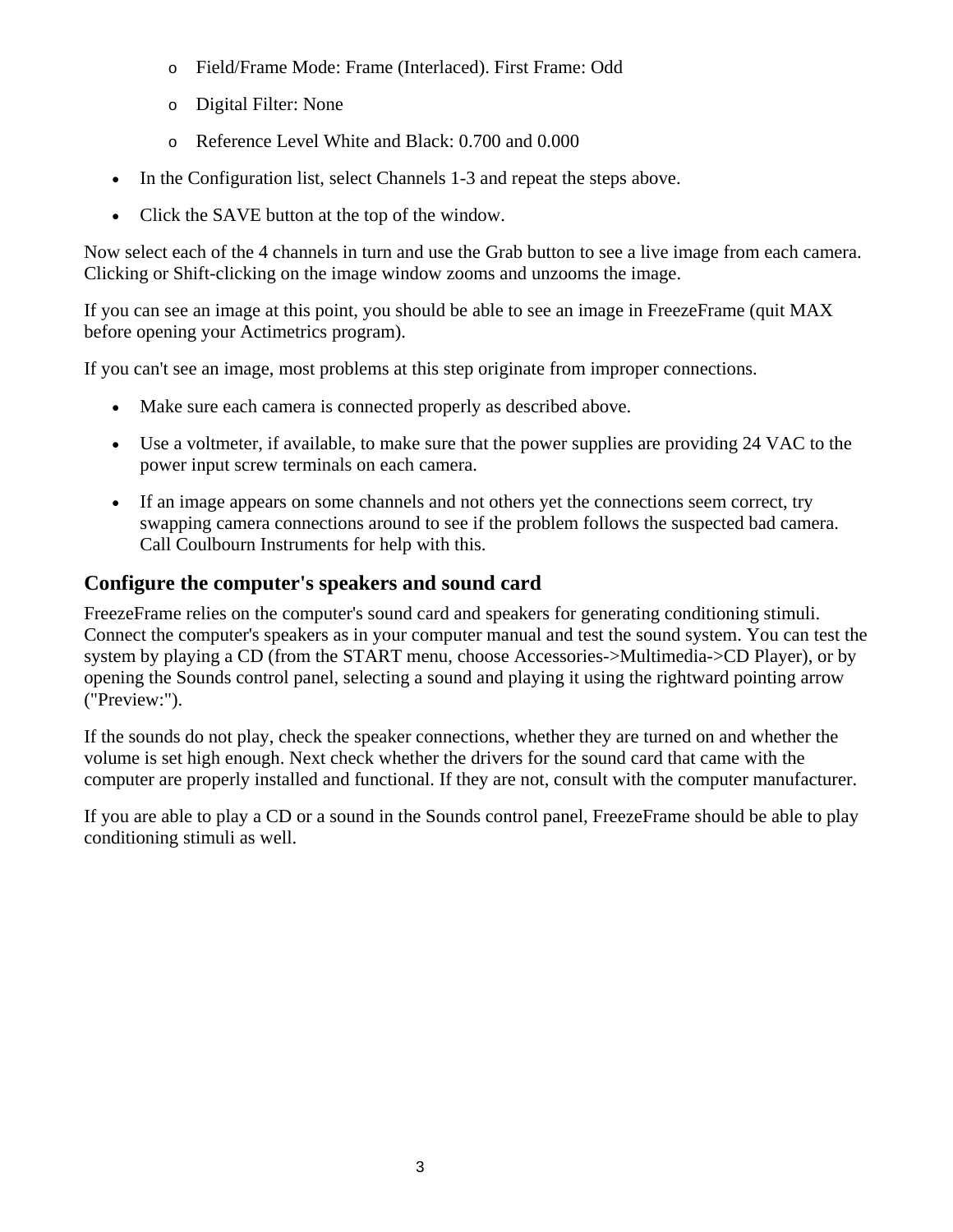- o Field/Frame Mode: Frame (Interlaced). First Frame: Odd
- o Digital Filter: None
- o Reference Level White and Black: 0.700 and 0.000
- In the Configuration list, select Channels 1-3 and repeat the steps above.
- Click the SAVE button at the top of the window.

Now select each of the 4 channels in turn and use the Grab button to see a live image from each camera. Clicking or Shift-clicking on the image window zooms and unzooms the image.

If you can see an image at this point, you should be able to see an image in FreezeFrame (quit MAX before opening your Actimetrics program).

If you can't see an image, most problems at this step originate from improper connections.

- Make sure each camera is connected properly as described above.
- Use a voltmeter, if available, to make sure that the power supplies are providing 24 VAC to the power input screw terminals on each camera.
- If an image appears on some channels and not others yet the connections seem correct, try swapping camera connections around to see if the problem follows the suspected bad camera. Call Coulbourn Instruments for help with this.

# **Configure the computer's speakers and sound card**

FreezeFrame relies on the computer's sound card and speakers for generating conditioning stimuli. Connect the computer's speakers as in your computer manual and test the sound system. You can test the system by playing a CD (from the START menu, choose Accessories->Multimedia->CD Player), or by opening the Sounds control panel, selecting a sound and playing it using the rightward pointing arrow ("Preview:").

If the sounds do not play, check the speaker connections, whether they are turned on and whether the volume is set high enough. Next check whether the drivers for the sound card that came with the computer are properly installed and functional. If they are not, consult with the computer manufacturer.

If you are able to play a CD or a sound in the Sounds control panel, FreezeFrame should be able to play conditioning stimuli as well.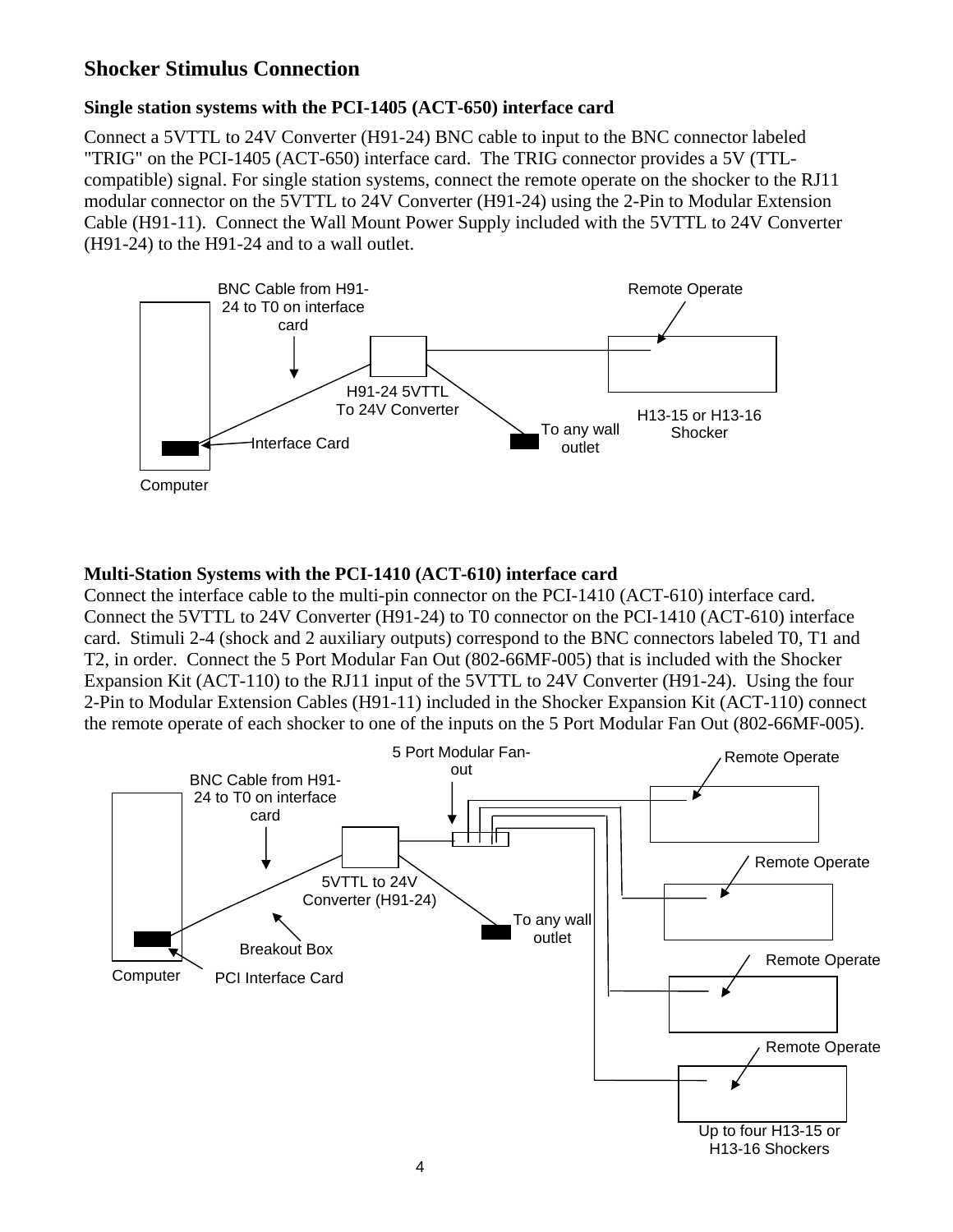### **Shocker Stimulus Connection**

#### **Single station systems with the PCI-1405 (ACT-650) interface card**

Connect a 5VTTL to 24V Converter (H91-24) BNC cable to input to the BNC connector labeled "TRIG" on the PCI-1405 (ACT-650) interface card. The TRIG connector provides a 5V (TTLcompatible) signal. For single station systems, connect the remote operate on the shocker to the RJ11 modular connector on the 5VTTL to 24V Converter (H91-24) using the 2-Pin to Modular Extension Cable (H91-11). Connect the Wall Mount Power Supply included with the 5VTTL to 24V Converter (H91-24) to the H91-24 and to a wall outlet.



#### **Multi-Station Systems with the PCI-1410 (ACT-610) interface card**

Connect the interface cable to the multi-pin connector on the PCI-1410 (ACT-610) interface card. Connect the 5VTTL to 24V Converter (H91-24) to T0 connector on the PCI-1410 (ACT-610) interface card. Stimuli 2-4 (shock and 2 auxiliary outputs) correspond to the BNC connectors labeled T0, T1 and T2, in order. Connect the 5 Port Modular Fan Out (802-66MF-005) that is included with the Shocker Expansion Kit (ACT-110) to the RJ11 input of the 5VTTL to 24V Converter (H91-24). Using the four 2-Pin to Modular Extension Cables (H91-11) included in the Shocker Expansion Kit (ACT-110) connect the remote operate of each shocker to one of the inputs on the 5 Port Modular Fan Out (802-66MF-005).

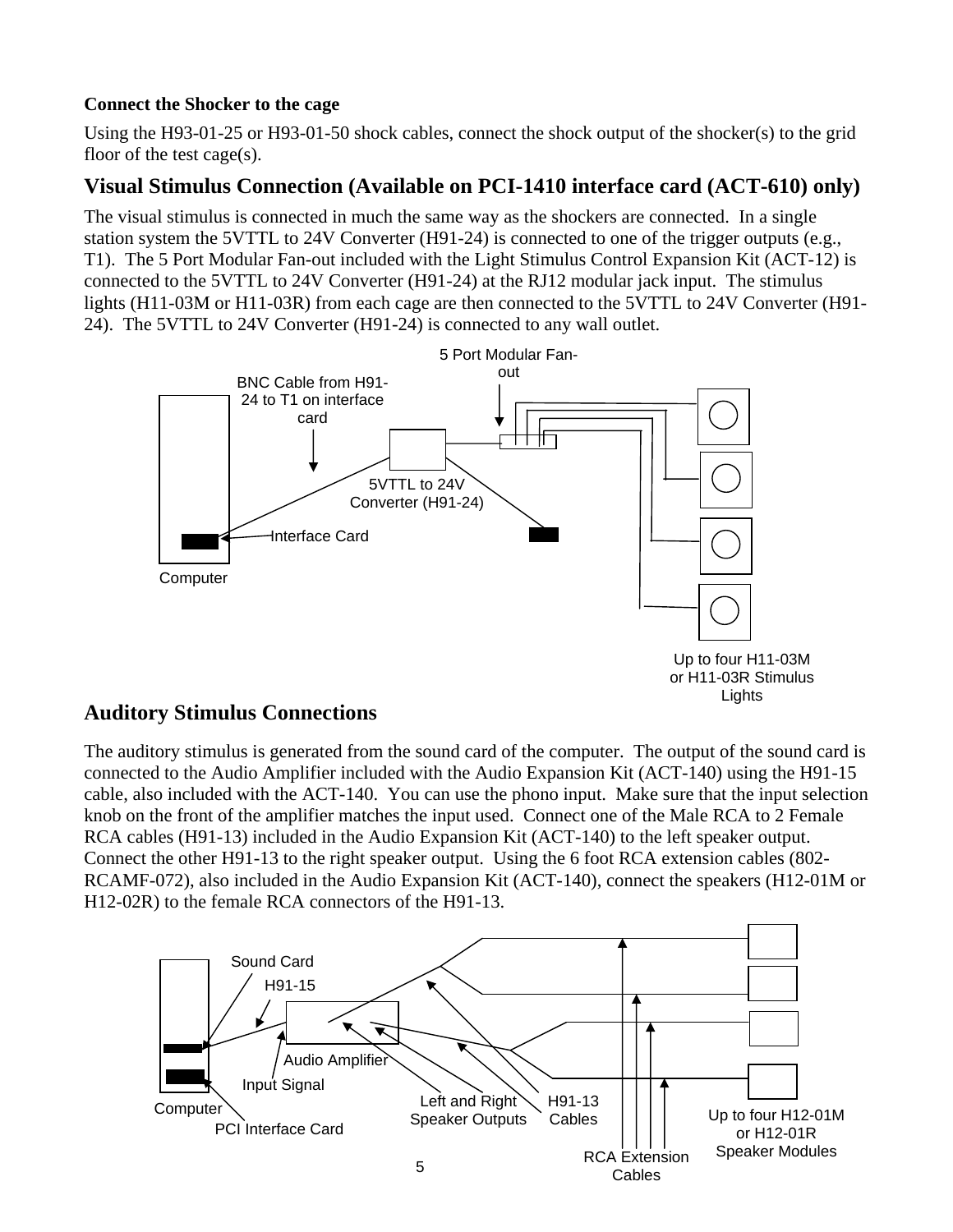#### **Connect the Shocker to the cage**

Using the H93-01-25 or H93-01-50 shock cables, connect the shock output of the shocker(s) to the grid floor of the test cage(s).

# **Visual Stimulus Connection (Available on PCI-1410 interface card (ACT-610) only)**

The visual stimulus is connected in much the same way as the shockers are connected. In a single station system the 5VTTL to 24V Converter (H91-24) is connected to one of the trigger outputs (e.g., T1). The 5 Port Modular Fan-out included with the Light Stimulus Control Expansion Kit (ACT-12) is connected to the 5VTTL to 24V Converter (H91-24) at the RJ12 modular jack input. The stimulus lights (H11-03M or H11-03R) from each cage are then connected to the 5VTTL to 24V Converter (H91- 24). The 5VTTL to 24V Converter (H91-24) is connected to any wall outlet.



# **Auditory Stimulus Connections**

The auditory stimulus is generated from the sound card of the computer. The output of the sound card is connected to the Audio Amplifier included with the Audio Expansion Kit (ACT-140) using the H91-15 cable, also included with the ACT-140. You can use the phono input. Make sure that the input selection knob on the front of the amplifier matches the input used. Connect one of the Male RCA to 2 Female RCA cables (H91-13) included in the Audio Expansion Kit (ACT-140) to the left speaker output. Connect the other H91-13 to the right speaker output. Using the 6 foot RCA extension cables (802- RCAMF-072), also included in the Audio Expansion Kit (ACT-140), connect the speakers (H12-01M or H12-02R) to the female RCA connectors of the H91-13.